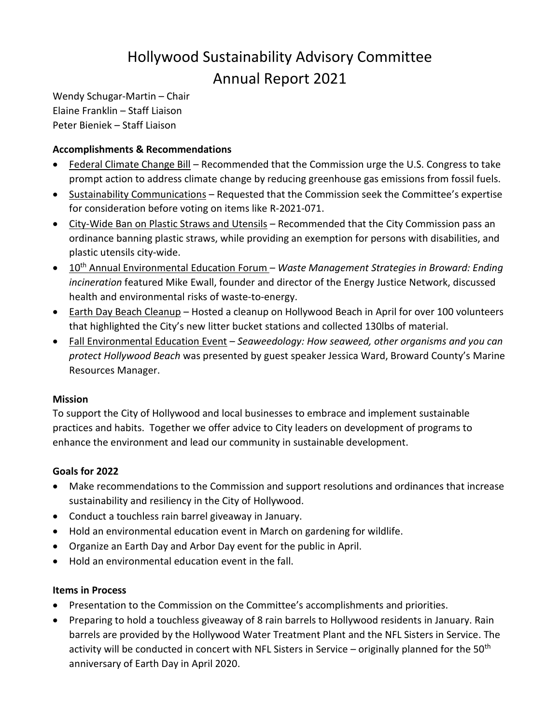# Hollywood Sustainability Advisory Committee Annual Report 2021

Wendy Schugar-Martin – Chair Elaine Franklin – Staff Liaison Peter Bieniek – Staff Liaison

## **Accomplishments & Recommendations**

- Federal Climate Change Bill Recommended that the Commission urge the U.S. Congress to take prompt action to address climate change by reducing greenhouse gas emissions from fossil fuels.
- Sustainability Communications Requested that the Commission seek the Committee's expertise for consideration before voting on items like R-2021-071.
- City-Wide Ban on Plastic Straws and Utensils Recommended that the City Commission pass an ordinance banning plastic straws, while providing an exemption for persons with disabilities, and plastic utensils city-wide.
- 10th Annual Environmental Education Forum *– Waste Management Strategies in Broward: Ending incineration* featured Mike Ewall, founder and director of the Energy Justice Network, discussed health and environmental risks of waste-to-energy.
- Earth Day Beach Cleanup Hosted a cleanup on Hollywood Beach in April for over 100 volunteers that highlighted the City's new litter bucket stations and collected 130lbs of material.
- Fall Environmental Education Event *Seaweedology: How seaweed, other organisms and you can protect Hollywood Beach* was presented by guest speaker Jessica Ward, Broward County's Marine Resources Manager.

### **Mission**

To support the City of Hollywood and local businesses to embrace and implement sustainable practices and habits. Together we offer advice to City leaders on development of programs to enhance the environment and lead our community in sustainable development.

### **Goals for 2022**

- Make recommendations to the Commission and support resolutions and ordinances that increase sustainability and resiliency in the City of Hollywood.
- Conduct a touchless rain barrel giveaway in January.
- Hold an environmental education event in March on gardening for wildlife.
- Organize an Earth Day and Arbor Day event for the public in April.
- Hold an environmental education event in the fall.

### **Items in Process**

- Presentation to the Commission on the Committee's accomplishments and priorities.
- Preparing to hold a touchless giveaway of 8 rain barrels to Hollywood residents in January. Rain barrels are provided by the Hollywood Water Treatment Plant and the NFL Sisters in Service. The activity will be conducted in concert with NFL Sisters in Service – originally planned for the 50<sup>th</sup> anniversary of Earth Day in April 2020.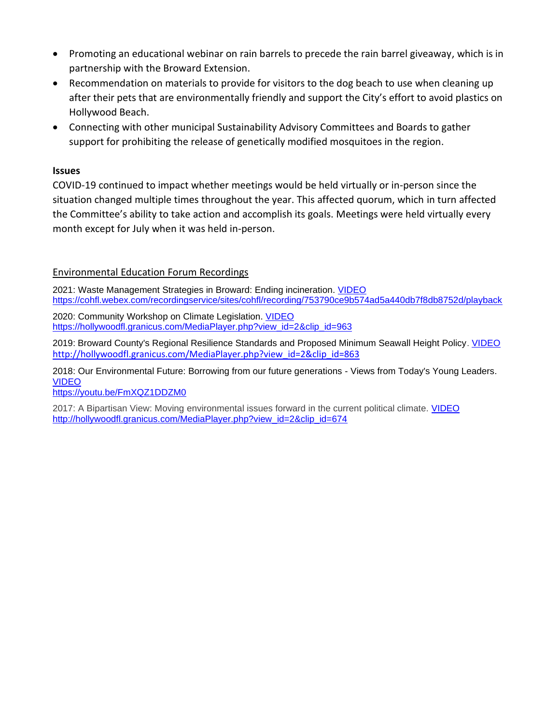- Promoting an educational webinar on rain barrels to precede the rain barrel giveaway, which is in partnership with the Broward Extension.
- Recommendation on materials to provide for visitors to the dog beach to use when cleaning up after their pets that are environmentally friendly and support the City's effort to avoid plastics on Hollywood Beach.
- Connecting with other municipal Sustainability Advisory Committees and Boards to gather support for prohibiting the release of genetically modified mosquitoes in the region.

#### **Issues**

COVID-19 continued to impact whether meetings would be held virtually or in-person since the situation changed multiple times throughout the year. This affected quorum, which in turn affected the Committee's ability to take action and accomplish its goals. Meetings were held virtually every month except for July when it was held in-person.

#### Environmental Education Forum Recordings

2021: Waste Management Strategies in Broward: Ending incineration. [VIDEO](https://cohfl.webex.com/recordingservice/sites/cohfl/recording/753790ce9b574ad5a440db7f8db8752d/playback) <https://cohfl.webex.com/recordingservice/sites/cohfl/recording/753790ce9b574ad5a440db7f8db8752d/playback>

2020: Community Workshop on Climate Legislation. [VIDEO](https://hollywoodfl.granicus.com/MediaPlayer.php?view_id=2&clip_id=963) [https://hollywoodfl.granicus.com/MediaPlayer.php?view\\_id=2&clip\\_id=963](https://hollywoodfl.granicus.com/MediaPlayer.php?view_id=2&clip_id=963)

2019: Broward County's Regional Resilience Standards and Proposed Minimum Seawall Height Policy. [VIDEO](http://hollywoodfl.granicus.com/MediaPlayer.php?view_id=2&clip_id=863) [http://hollywoodfl.granicus.com/MediaPlayer.php?view\\_id=2&clip\\_id=863](http://hollywoodfl.granicus.com/MediaPlayer.php?view_id=2&clip_id=863)

2018: Our Environmental Future: Borrowing from our future generations - Views from Today's Young Leaders. [VIDEO](https://youtu.be/FmXQZ1DDZM0)

<https://youtu.be/FmXQZ1DDZM0>

2017: A Bipartisan View: Moving environmental issues forward in the current political climate. [VIDEO](http://hollywoodfl.granicus.com/MediaPlayer.php?view_id=2&clip_id=674) [http://hollywoodfl.granicus.com/MediaPlayer.php?view\\_id=2&clip\\_id=674](http://hollywoodfl.granicus.com/MediaPlayer.php?view_id=2&clip_id=674)